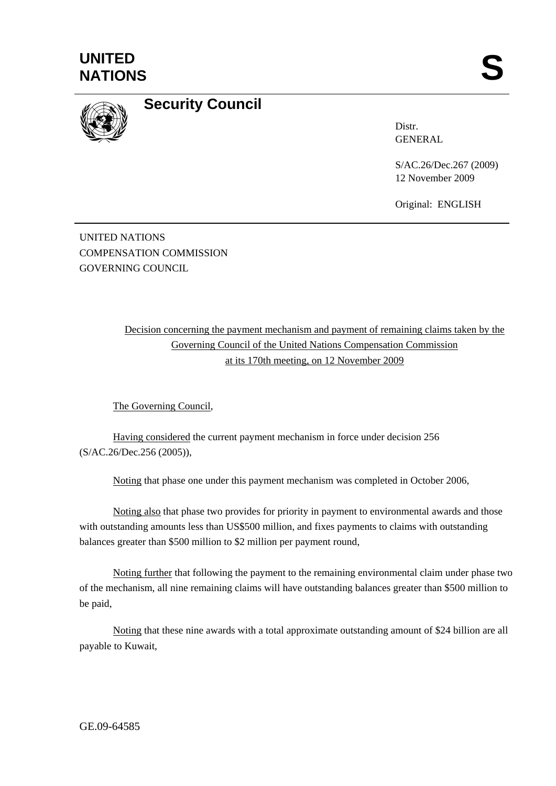



## **Security Council**

Distr. GENERAL

S/AC.26/Dec.267 (2009) 12 November 2009

Original: ENGLISH

UNITED NATIONS COMPENSATION COMMISSION GOVERNING COUNCIL

> Decision concerning the payment mechanism and payment of remaining claims taken by the Governing Council of the United Nations Compensation Commission at its 170th meeting, on 12 November 2009

The Governing Council,

Having considered the current payment mechanism in force under decision 256 (S/AC.26/Dec.256 (2005)),

Noting that phase one under this payment mechanism was completed in October 2006,

Noting also that phase two provides for priority in payment to environmental awards and those with outstanding amounts less than US\$500 million, and fixes payments to claims with outstanding balances greater than \$500 million to \$2 million per payment round,

Noting further that following the payment to the remaining environmental claim under phase two of the mechanism, all nine remaining claims will have outstanding balances greater than \$500 million to be paid,

Noting that these nine awards with a total approximate outstanding amount of \$24 billion are all payable to Kuwait,